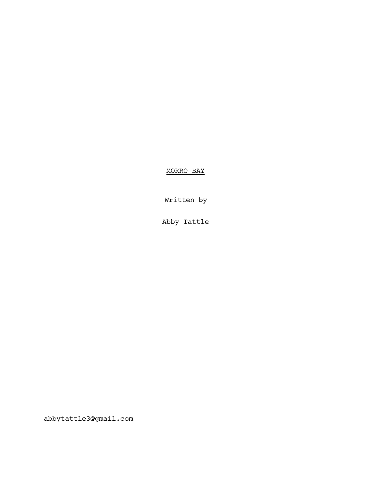MORRO BAY

Written by

Abby Tattle

abbytattle3@gmail.com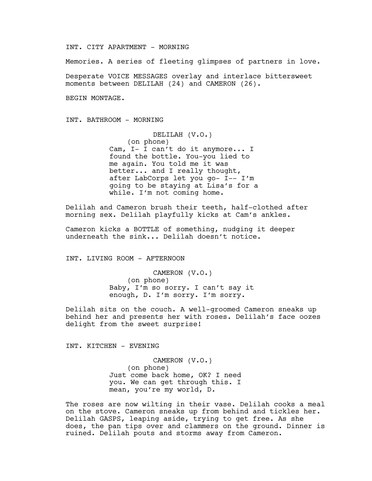INT. CITY APARTMENT - MORNING

Memories. A series of fleeting glimpses of partners in love.

Desperate VOICE MESSAGES overlay and interlace bittersweet moments between DELILAH (24) and CAMERON (26).

BEGIN MONTAGE.

INT. BATHROOM - MORNING

DELILAH (V.O.) (on phone) Cam, I- I can't do it anymore... I found the bottle. You-you lied to me again. You told me it was better... and I really thought, after LabCorps let you go- I-- I'm going to be staying at Lisa's for a while. I'm not coming home.

Delilah and Cameron brush their teeth, half-clothed after morning sex. Delilah playfully kicks at Cam's ankles.

Cameron kicks a BOTTLE of something, nudging it deeper underneath the sink... Delilah doesn't notice.

INT. LIVING ROOM - AFTERNOON

CAMERON (V.O.) (on phone) Baby, I'm so sorry. I can't say it enough, D. I'm sorry. I'm sorry.

Delilah sits on the couch. A well-groomed Cameron sneaks up behind her and presents her with roses. Delilah's face oozes delight from the sweet surprise!

INT. KITCHEN - EVENING

CAMERON (V.O.) (on phone) Just come back home, OK? I need you. We can get through this. I mean, you're my world, D.

The roses are now wilting in their vase. Delilah cooks a meal on the stove. Cameron sneaks up from behind and tickles her. Delilah GASPS, leaping aside, trying to get free. As she does, the pan tips over and clammers on the ground. Dinner is ruined. Delilah pouts and storms away from Cameron.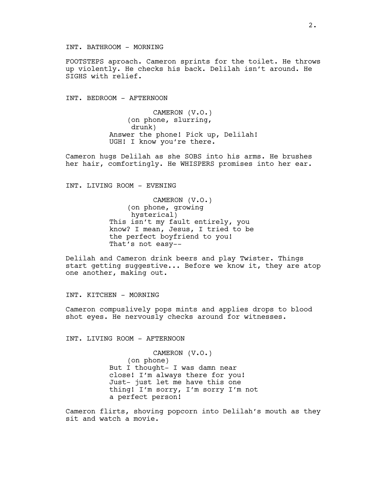INT. BATHROOM - MORNING

FOOTSTEPS aproach. Cameron sprints for the toilet. He throws up violently. He checks his back. Delilah isn't around. He SIGHS with relief.

INT. BEDROOM - AFTERNOON

CAMERON (V.O.) (on phone, slurring, drunk) Answer the phone! Pick up, Delilah! UGH! I know you're there.

Cameron hugs Delilah as she SOBS into his arms. He brushes her hair, comfortingly. He WHISPERS promises into her ear.

INT. LIVING ROOM - EVENING

CAMERON (V.O.) (on phone, growing hysterical) This isn't my fault entirely, you know? I mean, Jesus, I tried to be the perfect boyfriend to you! That's not easy--

Delilah and Cameron drink beers and play Twister. Things start getting suggestive... Before we know it, they are atop one another, making out.

INT. KITCHEN - MORNING

Cameron compuslively pops mints and applies drops to blood shot eyes. He nervously checks around for witnesses.

INT. LIVING ROOM - AFTERNOON

CAMERON (V.O.) (on phone) But I thought- I was damn near close! I'm always there for you! Just- just let me have this one thing! I'm sorry, I'm sorry I'm not a perfect person!

Cameron flirts, shoving popcorn into Delilah's mouth as they sit and watch a movie.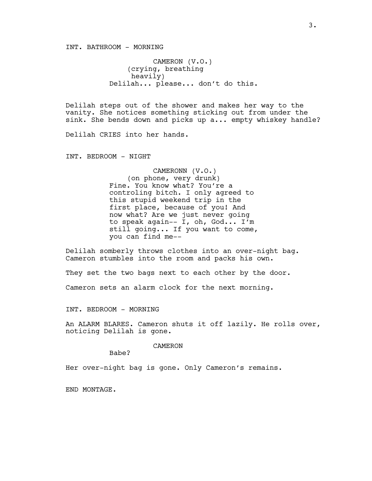INT. BATHROOM - MORNING

CAMERON (V.O.) (crying, breathing heavily) Delilah... please... don't do this.

Delilah steps out of the shower and makes her way to the vanity. She notices something sticking out from under the sink. She bends down and picks up a... empty whiskey handle?

Delilah CRIES into her hands.

INT. BEDROOM - NIGHT

CAMERONN (V.O.) (on phone, very drunk) Fine. You know what? You're a controling bitch. I only agreed to this stupid weekend trip in the first place, because of you! And now what? Are we just never going to speak again-- I, oh, God... I'm still going... If you want to come, you can find me--

Delilah somberly throws clothes into an over-night bag. Cameron stumbles into the room and packs his own.

They set the two bags next to each other by the door.

Cameron sets an alarm clock for the next morning.

INT. BEDROOM - MORNING

An ALARM BLARES. Cameron shuts it off lazily. He rolls over, noticing Delilah is gone.

CAMERON

Babe?

Her over-night bag is gone. Only Cameron's remains.

END MONTAGE.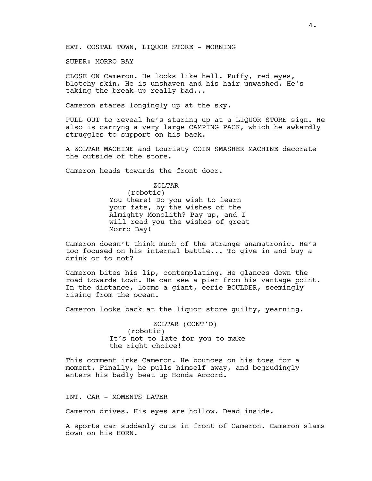EXT. COSTAL TOWN, LIQUOR STORE - MORNING

SUPER: MORRO BAY

CLOSE ON Cameron. He looks like hell. Puffy, red eyes, blotchy skin. He is unshaven and his hair unwashed. He's taking the break-up really bad...

Cameron stares longingly up at the sky.

PULL OUT to reveal he's staring up at a LIQUOR STORE sign. He also is carryng a very large CAMPING PACK, which he awkardly struggles to support on his back.

A ZOLTAR MACHINE and touristy COIN SMASHER MACHINE decorate the outside of the store.

Cameron heads towards the front door.

# ZOLTAR

(robotic) You there! Do you wish to learn your fate, by the wishes of the Almighty Monolith? Pay up, and I will read you the wishes of great Morro Bay!

Cameron doesn't think much of the strange anamatronic. He's too focused on his internal battle... To give in and buy a drink or to not?

Cameron bites his lip, contemplating. He glances down the road towards town. He can see a pier from his vantage point. In the distance, looms a giant, eerie BOULDER, seemingly rising from the ocean.

Cameron looks back at the liquor store guilty, yearning.

ZOLTAR (CONT'D) (robotic) It's not to late for you to make the right choice!

This comment irks Cameron. He bounces on his toes for a moment. Finally, he pulls himself away, and begrudingly enters his badly beat up Honda Accord.

INT. CAR - MOMENTS LATER

Cameron drives. His eyes are hollow. Dead inside.

A sports car suddenly cuts in front of Cameron. Cameron slams down on his HORN.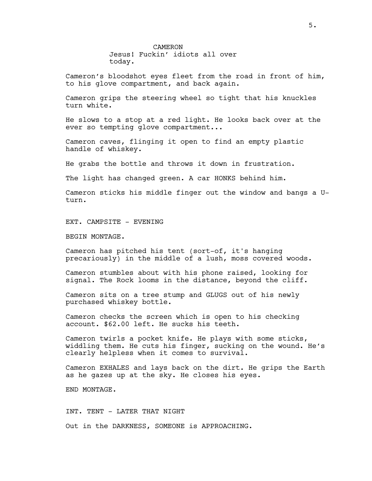CAMERON Jesus! Fuckin' idiots all over today.

Cameron's bloodshot eyes fleet from the road in front of him, to his glove compartment, and back again.

Cameron grips the steering wheel so tight that his knuckles turn white.

He slows to a stop at a red light. He looks back over at the ever so tempting glove compartment...

Cameron caves, flinging it open to find an empty plastic handle of whiskey.

He grabs the bottle and throws it down in frustration.

The light has changed green. A car HONKS behind him.

Cameron sticks his middle finger out the window and bangs a Uturn.

EXT. CAMPSITE - EVENING

BEGIN MONTAGE.

Cameron has pitched his tent (sort-of, it's hanging precariously) in the middle of a lush, moss covered woods.

Cameron stumbles about with his phone raised, looking for signal. The Rock looms in the distance, beyond the cliff.

Cameron sits on a tree stump and GLUGS out of his newly purchased whiskey bottle.

Cameron checks the screen which is open to his checking account. \$62.00 left. He sucks his teeth.

Cameron twirls a pocket knife. He plays with some sticks, widdling them. He cuts his finger, sucking on the wound. He's clearly helpless when it comes to survival.

Cameron EXHALES and lays back on the dirt. He grips the Earth as he gazes up at the sky. He closes his eyes.

END MONTAGE.

INT. TENT - LATER THAT NIGHT Out in the DARKNESS, SOMEONE is APPROACHING.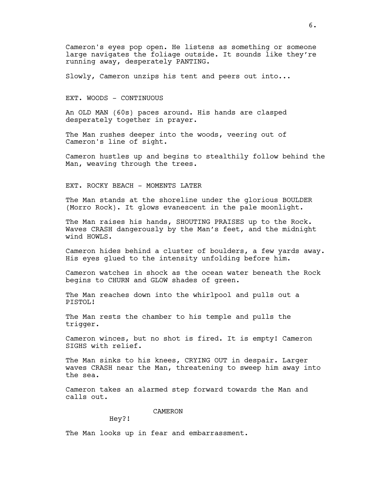Cameron's eyes pop open. He listens as something or someone large navigates the foliage outside. It sounds like they're running away, desperately PANTING.

Slowly, Cameron unzips his tent and peers out into...

EXT. WOODS - CONTINUOUS

An OLD MAN (60s) paces around. His hands are clasped desperately together in prayer.

The Man rushes deeper into the woods, veering out of Cameron's line of sight.

Cameron hustles up and begins to stealthily follow behind the Man, weaving through the trees.

EXT. ROCKY BEACH - MOMENTS LATER

The Man stands at the shoreline under the glorious BOULDER (Morro Rock). It glows evanescent in the pale moonlight.

The Man raises his hands, SHOUTING PRAISES up to the Rock. Waves CRASH dangerously by the Man's feet, and the midnight wind HOWLS.

Cameron hides behind a cluster of boulders, a few yards away. His eyes glued to the intensity unfolding before him.

Cameron watches in shock as the ocean water beneath the Rock begins to CHURN and GLOW shades of green.

The Man reaches down into the whirlpool and pulls out a PISTOL!

The Man rests the chamber to his temple and pulls the trigger.

Cameron winces, but no shot is fired. It is empty! Cameron SIGHS with relief.

The Man sinks to his knees, CRYING OUT in despair. Larger waves CRASH near the Man, threatening to sweep him away into the sea.

Cameron takes an alarmed step forward towards the Man and calls out.

CAMERON

Hey?!

The Man looks up in fear and embarrassment.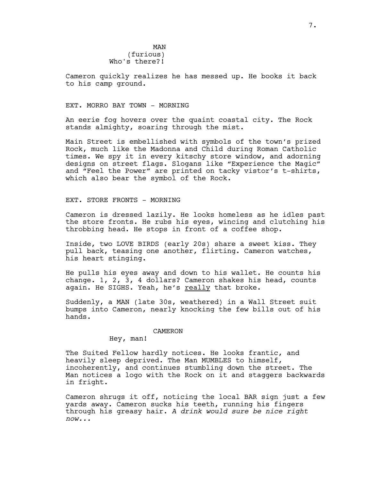MAN (furious) Who's there?!

Cameron quickly realizes he has messed up. He books it back to his camp ground.

## EXT. MORRO BAY TOWN - MORNING

An eerie fog hovers over the quaint coastal city. The Rock stands almighty, soaring through the mist.

Main Street is embellished with symbols of the town's prized Rock, much like the Madonna and Child during Roman Catholic times. We spy it in every kitschy store window, and adorning designs on street flags. Slogans like "Experience the Magic" and "Feel the Power" are printed on tacky vistor's t-shirts, which also bear the symbol of the Rock.

## EXT. STORE FRONTS - MORNING

Cameron is dressed lazily. He looks homeless as he idles past the store fronts. He rubs his eyes, wincing and clutching his throbbing head. He stops in front of a coffee shop.

Inside, two LOVE BIRDS (early 20s) share a sweet kiss. They pull back, teasing one another, flirting. Cameron watches, his heart stinging.

He pulls his eyes away and down to his wallet. He counts his change. 1, 2, 3, 4 dollars? Cameron shakes his head, counts again. He SIGHS. Yeah, he's really that broke.

Suddenly, a MAN (late 30s, weathered) in a Wall Street suit bumps into Cameron, nearly knocking the few bills out of his hands.

## CAMERON

Hey, man!

The Suited Fellow hardly notices. He looks frantic, and heavily sleep deprived. The Man MUMBLES to himself, incoherently, and continues stumbling down the street. The Man notices a logo with the Rock on it and staggers backwards in fright.

Cameron shrugs it off, noticing the local BAR sign just a few yards away. Cameron sucks his teeth, running his fingers through his greasy hair. *A drink would sure be nice right now...*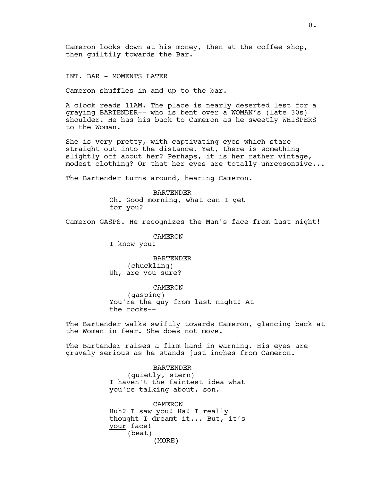Cameron looks down at his money, then at the coffee shop, then guiltily towards the Bar.

INT. BAR - MOMENTS LATER

Cameron shuffles in and up to the bar.

A clock reads 11AM. The place is nearly deserted lest for a graying BARTENDER-- who is bent over a WOMAN's (late 30s) shoulder. He has his back to Cameron as he sweetly WHISPERS to the Woman.

She is very pretty, with captivating eyes which stare straight out into the distance. Yet, there is something slightly off about her? Perhaps, it is her rather vintage, modest clothing? Or that her eyes are totally unrepsonsive...

The Bartender turns around, hearing Cameron.

BARTENDER Oh. Good morning, what can I get for you?

Cameron GASPS. He recognizes the Man's face from last night!

CAMERON

I know you!

BARTENDER (chuckling) Uh, are you sure?

CAMERON (gasping) You're the guy from last night! At the rocks--

The Bartender walks swiftly towards Cameron, glancing back at the Woman in fear. She does not move.

The Bartender raises a firm hand in warning. His eyes are gravely serious as he stands just inches from Cameron.

> BARTENDER (quietly, stern) I haven't the faintest idea what you're talking about, son.

> (MORE) CAMERON Huh? I saw you! Ha! I really thought I dreamt it... But, it's your face! (beat)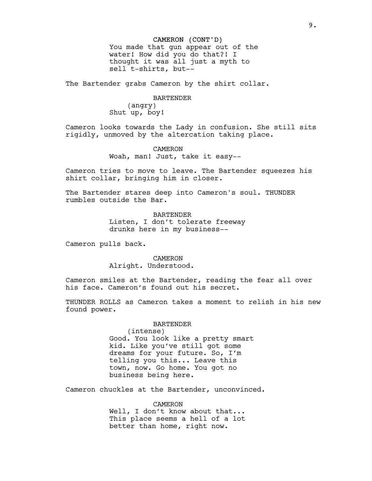### CAMERON (CONT'D)

You made that gun appear out of the water! How did you do that?! I thought it was all just a myth to sell t-shirts, but--

The Bartender grabs Cameron by the shirt collar.

### BARTENDER

(angry) Shut up, boy!

Cameron looks towards the Lady in confusion. She still sits rigidly, unmoved by the altercation taking place.

> CAMERON Woah, man! Just, take it easy--

Cameron tries to move to leave. The Bartender squeezes his shirt collar, bringing him in closer.

The Bartender stares deep into Cameron's soul. THUNDER rumbles outside the Bar.

> BARTENDER Listen, I don't tolerate freeway drunks here in my business--

Cameron pulls back.

CAMERON Alright. Understood.

Cameron smiles at the Bartender, reading the fear all over his face. Cameron's found out his secret.

THUNDER ROLLS as Cameron takes a moment to relish in his new found power.

BARTENDER

(intense) Good. You look like a pretty smart kid. Like you've still got some dreams for your future. So, I'm telling you this... Leave this town, now. Go home. You got no business being here.

Cameron chuckles at the Bartender, unconvinced.

CAMERON Well, I don't know about that... This place seems a hell of a lot better than home, right now.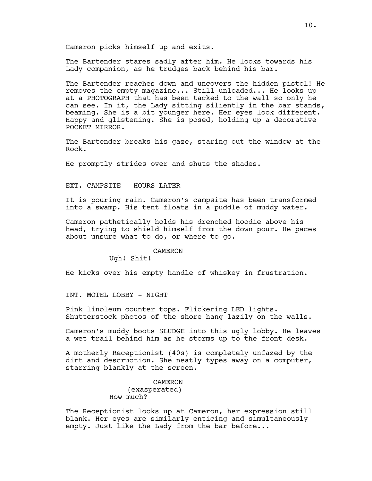Cameron picks himself up and exits.

The Bartender stares sadly after him. He looks towards his Lady companion, as he trudges back behind his bar.

The Bartender reaches down and uncovers the hidden pistol! He removes the empty magazine... Still unloaded... He looks up at a PHOTOGRAPH that has been tacked to the wall so only he can see. In it, the Lady sitting siliently in the bar stands, beaming. She is a bit younger here. Her eyes look different. Happy and glistening. She is posed, holding up a decorative POCKET MIRROR.

The Bartender breaks his gaze, staring out the window at the Rock.

He promptly strides over and shuts the shades.

EXT. CAMPSITE - HOURS LATER

It is pouring rain. Cameron's campsite has been transformed into a swamp. His tent floats in a puddle of muddy water.

Cameron pathetically holds his drenched hoodie above his head, trying to shield himself from the down pour. He paces about unsure what to do, or where to go.

#### CAMERON

Ugh! Shit!

He kicks over his empty handle of whiskey in frustration.

INT. MOTEL LOBBY - NIGHT

Pink linoleum counter tops. Flickering LED lights. Shutterstock photos of the shore hang lazily on the walls.

Cameron's muddy boots SLUDGE into this ugly lobby. He leaves a wet trail behind him as he storms up to the front desk.

A motherly Receptionist (40s) is completely unfazed by the dirt and descruction. She neatly types away on a computer, starring blankly at the screen.

> CAMERON (exasperated) How much?

The Receptionist looks up at Cameron, her expression still blank. Her eyes are similarly enticing and simultaneously empty. Just like the Lady from the bar before...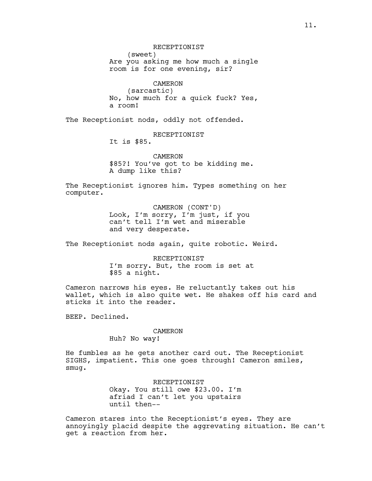RECEPTIONIST (sweet) Are you asking me how much a single room is for one evening, sir?

CAMERON (sarcastic) No, how much for a quick fuck? Yes, a room!

The Receptionist nods, oddly not offended.

RECEPTIONIST

It is \$85.

CAMERON \$85?! You've got to be kidding me. A dump like this?

The Receptionist ignores him. Types something on her computer.

> CAMERON (CONT'D) Look, I'm sorry, I'm just, if you can't tell I'm wet and miserable and very desperate.

The Receptionist nods again, quite robotic. Weird.

RECEPTIONIST I'm sorry. But, the room is set at \$85 a night.

Cameron narrows his eyes. He reluctantly takes out his wallet, which is also quite wet. He shakes off his card and sticks it into the reader.

BEEP. Declined.

## CAMERON

Huh? No way!

He fumbles as he gets another card out. The Receptionist SIGHS, impatient. This one goes through! Cameron smiles, smug.

> RECEPTIONIST Okay. You still owe \$23.00. I'm afriad I can't let you upstairs until then--

Cameron stares into the Receptionist's eyes. They are annoyingly placid despite the aggrevating situation. He can't get a reaction from her.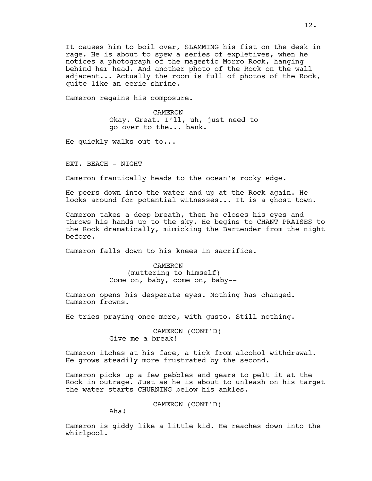It causes him to boil over, SLAMMING his fist on the desk in rage. He is about to spew a series of expletives, when he notices a photograph of the magestic Morro Rock, hanging behind her head. And another photo of the Rock on the wall adjacent... Actually the room is full of photos of the Rock, quite like an eerie shrine.

Cameron regains his composure.

CAMERON Okay. Great. I'll, uh, just need to go over to the... bank.

He quickly walks out to...

EXT. BEACH - NIGHT

Cameron frantically heads to the ocean's rocky edge.

He peers down into the water and up at the Rock again. He looks around for potential witnesses... It is a ghost town.

Cameron takes a deep breath, then he closes his eyes and throws his hands up to the sky. He begins to CHANT PRAISES to the Rock dramatically, mimicking the Bartender from the night before.

Cameron falls down to his knees in sacrifice.

CAMERON (muttering to himself) Come on, baby, come on, baby--

Cameron opens his desperate eyes. Nothing has changed. Cameron frowns.

He tries praying once more, with gusto. Still nothing.

CAMERON (CONT'D) Give me a break!

Cameron itches at his face, a tick from alcohol withdrawal. He grows steadily more frustrated by the second.

Cameron picks up a few pebbles and gears to pelt it at the Rock in outrage. Just as he is about to unleash on his target the water starts CHURNING below his ankles.

CAMERON (CONT'D)

Aha!

Cameron is giddy like a little kid. He reaches down into the whirlpool.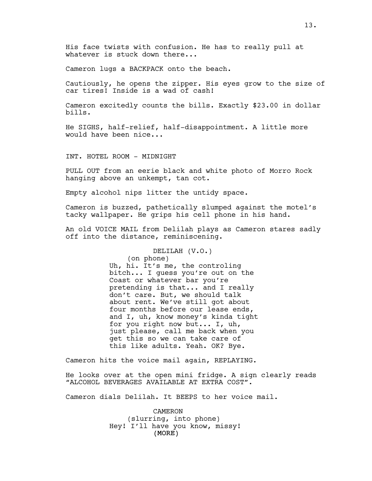His face twists with confusion. He has to really pull at whatever is stuck down there...

Cameron lugs a BACKPACK onto the beach.

Cautiously, he opens the zipper. His eyes grow to the size of car tires! Inside is a wad of cash!

Cameron excitedly counts the bills. Exactly \$23.00 in dollar bills.

He SIGHS, half-relief, half-disappointment. A little more would have been nice...

INT. HOTEL ROOM - MIDNIGHT

PULL OUT from an eerie black and white photo of Morro Rock hanging above an unkempt, tan cot.

Empty alcohol nips litter the untidy space.

Cameron is buzzed, pathetically slumped against the motel's tacky wallpaper. He grips his cell phone in his hand.

An old VOICE MAIL from Delilah plays as Cameron stares sadly off into the distance, reminiscening.

DELILAH (V.O.)

(on phone) Uh, hi. It's me, the controling bitch... I guess you're out on the Coast or whatever bar you're pretending is that... and I really don't care. But, we should talk about rent. We've still got about four months before our lease ends, and I, uh, know money's kinda tight for you right now but... I, uh, just please, call me back when you get this so we can take care of this like adults. Yeah. OK? Bye.

Cameron hits the voice mail again, REPLAYING.

He looks over at the open mini fridge. A sign clearly reads "ALCOHOL BEVERAGES AVAILABLE AT EXTRA COST".

Cameron dials Delilah. It BEEPS to her voice mail.

(MORE) CAMERON (slurring, into phone) Hey! I'll have you know, missy!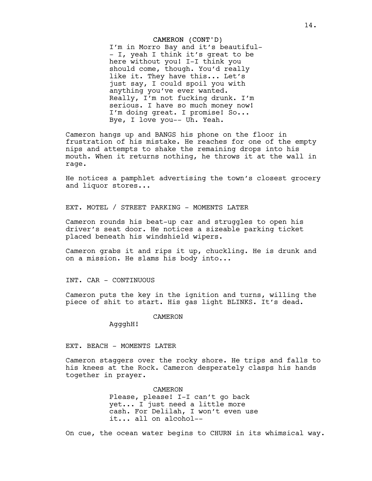#### CAMERON (CONT'D)

I'm in Morro Bay and it's beautiful- - I, yeah I think it's great to be here without you! I-I think you should come, though. You'd really like it. They have this... Let's just say, I could spoil you with anything you've ever wanted. Really, I'm not fucking drunk. I'm serious. I have so much money now! I'm doing great. I promise! So... Bye, I love you-- Uh. Yeah.

Cameron hangs up and BANGS his phone on the floor in frustration of his mistake. He reaches for one of the empty nips and attempts to shake the remaining drops into his mouth. When it returns nothing, he throws it at the wall in rage.

He notices a pamphlet advertising the town's closest grocery and liquor stores...

EXT. MOTEL / STREET PARKING - MOMENTS LATER

Cameron rounds his beat-up car and struggles to open his driver's seat door. He notices a sizeable parking ticket placed beneath his windshield wipers.

Cameron grabs it and rips it up, chuckling. He is drunk and on a mission. He slams his body into...

INT. CAR - CONTINUOUS

Cameron puts the key in the ignition and turns, willing the piece of shit to start. His gas light BLINKS. It's dead.

CAMERON

AggghH!

EXT. BEACH - MOMENTS LATER

Cameron staggers over the rocky shore. He trips and falls to his knees at the Rock. Cameron desperately clasps his hands together in prayer.

> CAMERON Please, please! I-I can't go back yet... I just need a little more cash. For Delilah, I won't even use it... all on alcohol--

On cue, the ocean water begins to CHURN in its whimsical way.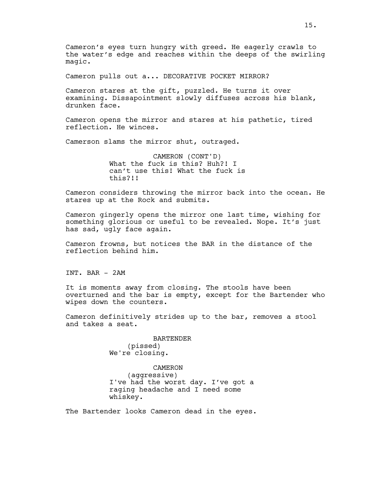Cameron's eyes turn hungry with greed. He eagerly crawls to the water's edge and reaches within the deeps of the swirling magic.

Cameron pulls out a... DECORATIVE POCKET MIRROR?

Cameron stares at the gift, puzzled. He turns it over examining. Dissapointment slowly diffuses across his blank, drunken face.

Cameron opens the mirror and stares at his pathetic, tired reflection. He winces.

Camerson slams the mirror shut, outraged.

CAMERON (CONT'D) What the fuck is this? Huh?! I can't use this! What the fuck is this?!!

Cameron considers throwing the mirror back into the ocean. He stares up at the Rock and submits.

Cameron gingerly opens the mirror one last time, wishing for something glorious or useful to be revealed. Nope. It's just has sad, ugly face again.

Cameron frowns, but notices the BAR in the distance of the reflection behind him.

INT. BAR - 2AM

It is moments away from closing. The stools have been overturned and the bar is empty, except for the Bartender who wipes down the counters.

Cameron definitively strides up to the bar, removes a stool and takes a seat.

> BARTENDER (pissed) We're closing.

CAMERON (aggressive) I've had the worst day. I've got a raging headache and I need some whiskey.

The Bartender looks Cameron dead in the eyes.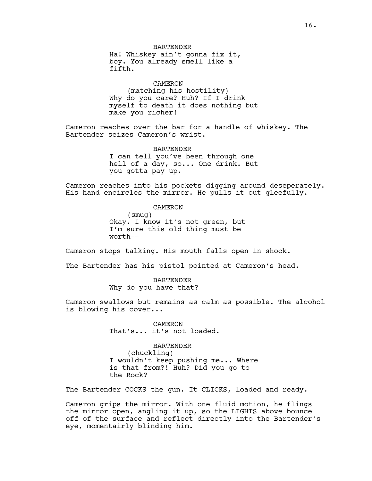BARTENDER Ha! Whiskey ain't gonna fix it, boy. You already smell like a fifth.

CAMERON (matching his hostility) Why do you care? Huh? If I drink myself to death it does nothing but make you richer!

Cameron reaches over the bar for a handle of whiskey. The Bartender seizes Cameron's wrist.

> BARTENDER I can tell you've been through one hell of a day, so... One drink. But you gotta pay up.

Cameron reaches into his pockets digging around deseperately. His hand encircles the mirror. He pulls it out gleefully.

> CAMERON (smug) Okay. I know it's not green, but I'm sure this old thing must be

Cameron stops talking. His mouth falls open in shock.

The Bartender has his pistol pointed at Cameron's head.

BARTENDER Why do you have that?

worth--

Cameron swallows but remains as calm as possible. The alcohol is blowing his cover...

> CAMERON That's... it's not loaded.

BARTENDER (chuckling) I wouldn't keep pushing me... Where is that from?! Huh? Did you go to the Rock?

The Bartender COCKS the gun. It CLICKS, loaded and ready.

Cameron grips the mirror. With one fluid motion, he flings the mirror open, angling it up, so the LIGHTS above bounce off of the surface and reflect directly into the Bartender's eye, momentairly blinding him.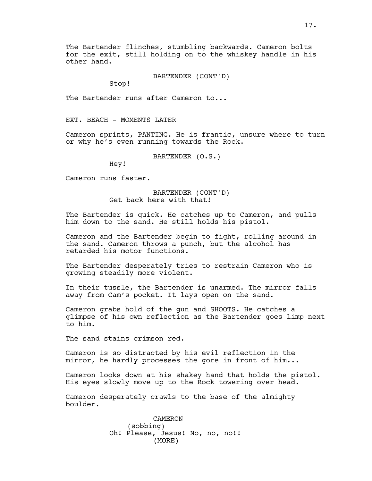The Bartender flinches, stumbling backwards. Cameron bolts for the exit, still holding on to the whiskey handle in his other hand.

BARTENDER (CONT'D)

Stop!

The Bartender runs after Cameron to...

EXT. BEACH - MOMENTS LATER

Cameron sprints, PANTING. He is frantic, unsure where to turn or why he's even running towards the Rock.

BARTENDER (O.S.)

Hey!

Cameron runs faster.

BARTENDER (CONT'D) Get back here with that!

The Bartender is quick. He catches up to Cameron, and pulls him down to the sand. He still holds his pistol.

Cameron and the Bartender begin to fight, rolling around in the sand. Cameron throws a punch, but the alcohol has retarded his motor functions.

The Bartender desperately tries to restrain Cameron who is growing steadily more violent.

In their tussle, the Bartender is unarmed. The mirror falls away from Cam's pocket. It lays open on the sand.

Cameron grabs hold of the gun and SHOOTS. He catches a glimpse of his own reflection as the Bartender goes limp next to him.

The sand stains crimson red.

Cameron is so distracted by his evil reflection in the mirror, he hardly processes the gore in front of him...

Cameron looks down at his shakey hand that holds the pistol. His eyes slowly move up to the Rock towering over head.

Cameron desperately crawls to the base of the almighty boulder.

> (MORE) CAMERON (sobbing) Oh! Please, Jesus! No, no, no!!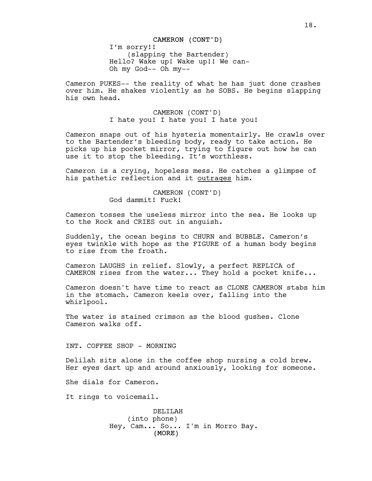Cameron PUKES-- the reality of what he has just done crashes over him. He shakes violently as he SOBS. He begins slapping his own head.

> CAMERON (CONT'D) I hate you! I hate you! I hate you!

Cameron snaps out of his hysteria momentairly. He crawls over to the Bartender's bleeding body, ready to take action. He picks up his pocket mirror, trying to figure out how he can use it to stop the bleeding. It's worthless.

Cameron is a crying, hopeless mess. He catches a glimpse of his pathetic reflection and it outrages him.

> CAMERON (CONT'D) God dammit! Fuck!

Cameron tosses the useless mirror into the sea. He looks up to the Rock and CRIES out in anguish.

Suddenly, the ocean begins to CHURN and BUBBLE. Cameron's eyes twinkle with hope as the FIGURE of a human body begins to rise from the froath.

Cameron LAUGHS in relief. Slowly, a perfect REPLICA of CAMERON rises from the water... They hold a pocket knife...

Cameron doesn't have time to react as CLONE CAMERON stabs him in the stomach. Cameron keels over, falling into the whirlpool.

The water is stained crimson as the blood gushes. Clone Cameron walks off.

INT. COFFEE SHOP - MORNING

Delilah sits alone in the coffee shop nursing a cold brew. Her eyes dart up and around anxiously, looking for someone.

She dials for Cameron.

It rings to voicemail.

(MORE) DELILAH (into phone) Hey, Cam... So... I'm in Morro Bay.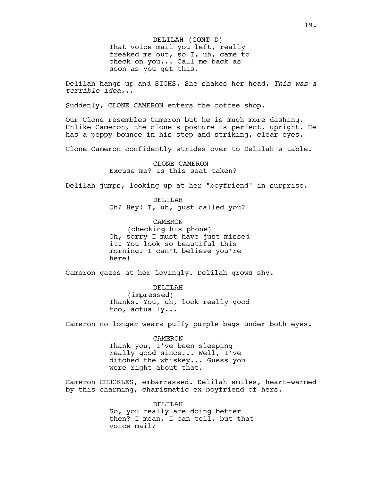## DELILAH (CONT'D)

That voice mail you left, really freaked me out, so I, uh, came to check on you... Call me back as soon as you get this.

Delilah hangs up and SIGHS. She shakes her head. *This was a terrible idea...*

Suddenly, CLONE CAMERON enters the coffee shop.

Our Clone resembles Cameron but he is much more dashing. Unlike Cameron, the clone's posture is perfect, upright. He has a peppy bounce in his step and striking, clear eyes.

Clone Cameron confidently strides over to Delilah's table.

CLONE CAMERON Excuse me? Is this seat taken?

Delilah jumps, looking up at her "boyfriend" in surprise.

DELILAH Oh? Hey! I, uh, just called you?

CAMERON (checking his phone) Oh, sorry I must have just missed it! You look so beautiful this morning. I can't believe you're here!

Cameron gazes at her lovingly. Delilah grows shy.

DELILAH (impressed) Thanks. You, uh, look really good too, actually...

Cameron no longer wears puffy purple bags under both eyes.

CAMERON Thank you, I've been sleeping really good since... Well, I've ditched the whiskey... Guess you were right about that.

Cameron CHUCKLES, embarrassed. Delilah smiles, heart-warmed by this charming, charismatic ex-boyfriend of hers.

> DELILAH So, you really are doing better then? I mean, I can tell, but that voice mail?